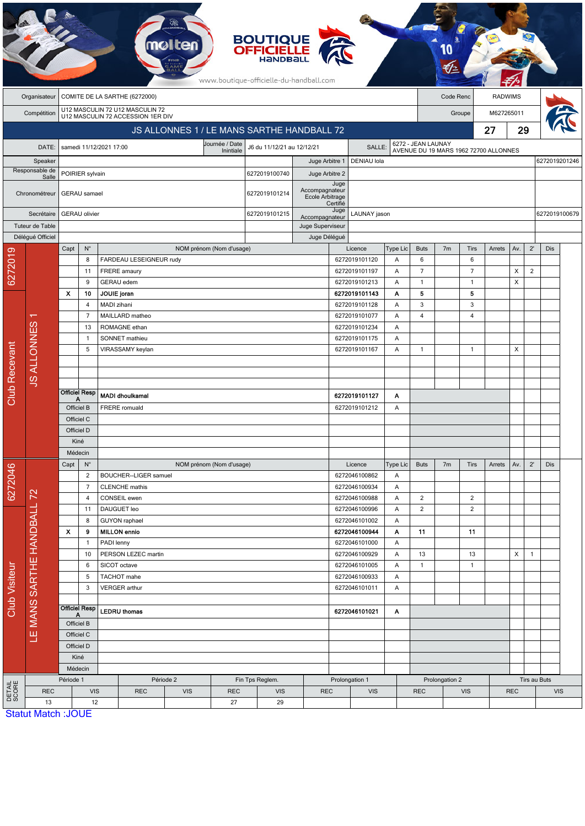|                           |                            |                                                                      |                         |                                             |                                 |                                              |                          | <b>BOUTIQUE</b><br><b>OFFICIELLE</b><br>HANDBALL<br>www.boutique-officielle-du-handball.com |                                   |                    |                                |                          |                  |                |                                       |        |              |                |               |               |
|---------------------------|----------------------------|----------------------------------------------------------------------|-------------------------|---------------------------------------------|---------------------------------|----------------------------------------------|--------------------------|---------------------------------------------------------------------------------------------|-----------------------------------|--------------------|--------------------------------|--------------------------|------------------|----------------|---------------------------------------|--------|--------------|----------------|---------------|---------------|
|                           | Organisateur               | COMITE DE LA SARTHE (6272000)                                        |                         |                                             |                                 |                                              |                          |                                                                                             |                                   |                    |                                | Code Renc                |                  | <b>RADWIMS</b> |                                       |        |              |                |               |               |
|                           | Compétition                | U12 MASCULIN 72 U12 MASCULIN 72<br>U12 MASCULIN 72 ACCESSION 1ER DIV |                         |                                             |                                 |                                              |                          |                                                                                             |                                   |                    |                                |                          |                  | Groupe         |                                       |        | M627265011   |                |               |               |
|                           |                            | JS ALLONNES 1 / LE MANS SARTHE HANDBALL 72                           |                         |                                             |                                 |                                              |                          |                                                                                             |                                   |                    |                                | 27<br>29                 |                  |                |                                       |        |              |                |               |               |
|                           | DATE:                      | Journée / Date<br>samedi 11/12/2021 17:00                            |                         |                                             |                                 |                                              |                          | J6 du 11/12/21 au 12/12/21<br>SALLE:                                                        |                                   |                    |                                | 6272 - JEAN LAUNAY       |                  |                |                                       |        |              |                |               |               |
|                           |                            | Inintiale                                                            |                         |                                             |                                 |                                              |                          |                                                                                             | Juge Arbitre 1                    |                    | DENIAU lola                    |                          |                  |                | AVENUE DU 19 MARS 1962 72700 ALLONNES |        |              |                |               | 6272019201246 |
| Speaker<br>Responsable de |                            | POIRIER sylvain                                                      |                         |                                             |                                 |                                              |                          | 6272019100740                                                                               | Juge Arbitre 2                    |                    |                                |                          |                  |                |                                       |        |              |                |               |               |
|                           | Salle<br>Chronométreur     | <b>GERAU</b> samael                                                  |                         |                                             |                                 |                                              |                          | 6272019101214                                                                               | Accompagnateur<br>Ecole Arbitrage | Juge<br>Certifié   |                                |                          |                  |                |                                       |        |              |                |               |               |
| Secrétaire                |                            | <b>GERAU</b> olivier                                                 |                         |                                             |                                 |                                              |                          | 6272019101215                                                                               | Accompagnateur                    | Juge               | LAUNAY jason                   |                          |                  |                |                                       |        |              |                | 6272019100679 |               |
| Tuteur de Table           |                            |                                                                      |                         |                                             |                                 |                                              |                          | Juge Superviseur                                                                            |                                   |                    |                                |                          |                  |                |                                       |        |              |                |               |               |
|                           | Délégué Officiel           |                                                                      |                         |                                             |                                 |                                              |                          |                                                                                             | Juge Délégué                      |                    |                                |                          |                  |                |                                       |        |              |                |               |               |
| 6272019                   |                            | Capt                                                                 | $\mathsf{N}^\circ$<br>8 |                                             | FARDEAU LESEIGNEUR rudy         |                                              | NOM prénom (Nom d'usage) |                                                                                             |                                   |                    | Licence<br>6272019101120       | Type Lic<br>A            | <b>Buts</b><br>6 | 7 <sub>m</sub> | <b>Tirs</b><br>6                      | Arrets | Av.          | $2^{\prime}$   | Dis           |               |
|                           |                            |                                                                      | 11                      | FRERE amaury                                |                                 |                                              |                          |                                                                                             |                                   |                    | 6272019101197                  | Α                        | $\overline{7}$   |                | $\overline{7}$                        |        | X            | $\overline{2}$ |               |               |
|                           |                            |                                                                      | 9                       | <b>GERAU</b> edem                           |                                 |                                              |                          |                                                                                             |                                   |                    | 6272019101213                  | A                        | $\mathbf{1}$     |                | $\mathbf{1}$                          |        | X            |                |               |               |
|                           |                            | Х                                                                    | 10                      | JOUIE joran                                 |                                 |                                              |                          |                                                                                             |                                   |                    | 6272019101143                  | Α                        | 5                |                | 5                                     |        |              |                |               |               |
|                           |                            |                                                                      | 4                       | MADI zihani                                 |                                 |                                              |                          |                                                                                             |                                   |                    | 6272019101128                  | Α                        | $\sqrt{3}$       |                | 3                                     |        |              |                |               |               |
|                           | ↽                          |                                                                      | $\overline{7}$          |                                             | MAILLARD matheo                 |                                              |                          |                                                                                             |                                   |                    | 6272019101077                  | A                        | $\overline{4}$   |                | $\overline{4}$                        |        |              |                |               |               |
|                           |                            |                                                                      | 13<br>$\mathbf{1}$      |                                             | ROMAGNE ethan<br>SONNET mathieu |                                              |                          |                                                                                             |                                   |                    | 6272019101234<br>6272019101175 | Α<br>A                   |                  |                |                                       |        |              |                |               |               |
|                           |                            |                                                                      | 5                       |                                             | VIRASSAMY keylan                |                                              |                          |                                                                                             |                                   |                    | 6272019101167                  | A                        | $\mathbf{1}$     |                | $\mathbf{1}$                          |        | X            |                |               |               |
|                           | <b>JS ALLONNES</b>         |                                                                      |                         |                                             |                                 |                                              |                          |                                                                                             |                                   |                    |                                |                          |                  |                |                                       |        |              |                |               |               |
|                           |                            |                                                                      |                         |                                             |                                 |                                              |                          |                                                                                             |                                   |                    |                                |                          |                  |                |                                       |        |              |                |               |               |
|                           |                            |                                                                      |                         |                                             |                                 |                                              |                          |                                                                                             |                                   |                    |                                |                          |                  |                |                                       |        |              |                |               |               |
| <b>Club Recevant</b>      |                            | А                                                                    | <b>Officiel Resp</b>    |                                             | <b>MADI dhoulkamal</b>          |                                              |                          |                                                                                             |                                   |                    | 6272019101127                  | Α                        |                  |                |                                       |        |              |                |               |               |
|                           |                            | Officiel B                                                           |                         | FRERE romuald                               |                                 |                                              |                          |                                                                                             |                                   |                    | 6272019101212                  | Α                        |                  |                |                                       |        |              |                |               |               |
|                           |                            | Officiel C<br>Officiel D                                             |                         |                                             |                                 |                                              |                          |                                                                                             |                                   |                    |                                |                          |                  |                |                                       |        |              |                |               |               |
|                           |                            | Kiné                                                                 |                         |                                             |                                 |                                              |                          |                                                                                             |                                   |                    |                                |                          |                  |                |                                       |        |              |                |               |               |
|                           |                            | Médecin                                                              |                         |                                             |                                 |                                              |                          |                                                                                             |                                   |                    |                                |                          |                  |                |                                       |        |              |                |               |               |
|                           |                            | Capt<br>$N^{\circ}$                                                  |                         |                                             |                                 |                                              | NOM prénom (Nom d'usage) |                                                                                             |                                   |                    | Licence                        | Type Lic                 | <b>Buts</b>      | 7 <sub>m</sub> | <b>Tirs</b>                           | Arrets | Av.          | $2^{\prime}$   | Dis           |               |
| 6272046                   |                            |                                                                      | $\overline{2}$          |                                             | BOUCHER--LIGER samuel           |                                              |                          |                                                                                             |                                   |                    | 6272046100862                  | Α                        |                  |                |                                       |        |              |                |               |               |
|                           |                            |                                                                      | $\overline{7}$          |                                             | <b>CLENCHE</b> mathis           |                                              |                          |                                                                                             |                                   |                    | 6272046100934                  | Α                        |                  |                |                                       |        |              |                |               |               |
|                           |                            |                                                                      | 4                       | CONSEIL ewen                                |                                 |                                              |                          |                                                                                             |                                   |                    | 6272046100988                  | Α                        | $\overline{2}$   |                | $\overline{2}$                        |        |              |                |               |               |
|                           |                            |                                                                      | 11                      | DAUGUET leo                                 |                                 |                                              |                          |                                                                                             |                                   |                    | 6272046100996<br>6272046101002 | Α                        | $\overline{2}$   |                | $\overline{2}$                        |        |              |                |               |               |
|                           |                            | $\mathbf{x}$                                                         | 8<br>9                  | <b>GUYON</b> raphael<br><b>MILLON</b> ennio |                                 |                                              |                          |                                                                                             |                                   |                    | 6272046100944                  | Α<br>Α                   | 11               |                | 11                                    |        |              |                |               |               |
| <b>Club Visiteur</b>      |                            |                                                                      | $\mathbf{1}$            | PADI lenny                                  |                                 |                                              |                          |                                                                                             |                                   |                    | 6272046101000                  | A                        |                  |                |                                       |        |              |                |               |               |
|                           |                            |                                                                      | 10                      |                                             | PERSON LEZEC martin             |                                              |                          |                                                                                             |                                   |                    | 6272046100929                  | Α                        | 13               |                | 13                                    |        | X            | $\mathbf{1}$   |               |               |
|                           | LE MANS SARTHE HANDBALL 72 |                                                                      | 6                       | SICOT octave                                |                                 |                                              |                          |                                                                                             |                                   |                    | 6272046101005                  | Α                        | $\mathbf{1}$     |                | $\mathbf{1}$                          |        |              |                |               |               |
|                           |                            |                                                                      | 5                       | TACHOT mahe                                 |                                 |                                              |                          |                                                                                             |                                   |                    | 6272046100933                  | Α                        |                  |                |                                       |        |              |                |               |               |
|                           |                            |                                                                      | 3                       | VERGER arthur<br>6272046101011<br>Α         |                                 |                                              |                          |                                                                                             |                                   |                    |                                |                          |                  |                |                                       |        |              |                |               |               |
|                           |                            |                                                                      | <b>Officiel Resp</b>    |                                             |                                 |                                              |                          |                                                                                             |                                   |                    |                                |                          |                  |                |                                       |        |              |                |               |               |
|                           |                            | A<br>Officiel B<br>Officiel C                                        |                         | <b>LEDRU</b> thomas                         |                                 |                                              |                          |                                                                                             |                                   | 6272046101021<br>Α |                                |                          |                  |                |                                       |        |              |                |               |               |
|                           |                            |                                                                      |                         |                                             |                                 |                                              |                          |                                                                                             |                                   |                    |                                |                          |                  |                |                                       |        |              |                |               |               |
|                           |                            | Officiel D                                                           |                         |                                             |                                 |                                              |                          |                                                                                             |                                   |                    |                                |                          |                  |                |                                       |        |              |                |               |               |
|                           |                            | Kiné                                                                 |                         |                                             |                                 |                                              |                          |                                                                                             |                                   |                    |                                |                          |                  |                |                                       |        |              |                |               |               |
|                           |                            | Médecin                                                              |                         |                                             |                                 |                                              |                          |                                                                                             |                                   |                    |                                |                          |                  |                |                                       |        |              |                |               |               |
|                           |                            | Période 1                                                            |                         | Période 2                                   |                                 |                                              |                          | Fin Tps Reglem.                                                                             |                                   | Prolongation 1     |                                |                          |                  | Prolongation 2 |                                       |        | Tirs au Buts |                |               |               |
| DETAIL<br>SCORE           | <b>REC</b><br>13           | <b>VIS</b><br>12                                                     |                         |                                             |                                 | <b>REC</b><br><b>VIS</b><br><b>REC</b><br>27 |                          | <b>VIS</b><br>29                                                                            | <b>REC</b><br><b>VIS</b>          |                    |                                | <b>REC</b><br><b>VIS</b> |                  |                | <b>REC</b>                            |        | <b>VIS</b>   |                |               |               |
|                           |                            | <b>Statut Match: JOUE</b>                                            |                         |                                             |                                 |                                              |                          |                                                                                             |                                   |                    |                                |                          |                  |                |                                       |        |              |                |               |               |